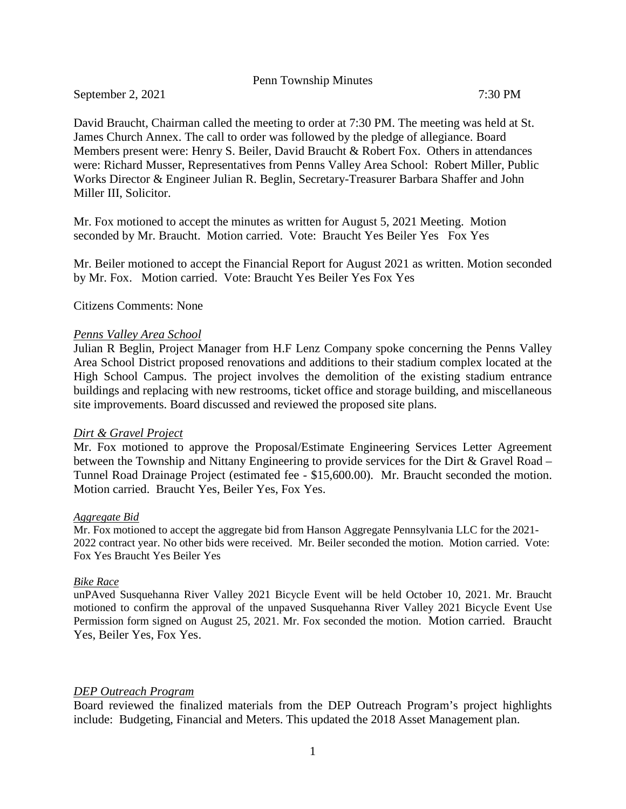### Penn Township Minutes

September 2, 2021 7:30 PM

David Braucht, Chairman called the meeting to order at 7:30 PM. The meeting was held at St. James Church Annex. The call to order was followed by the pledge of allegiance. Board Members present were: Henry S. Beiler, David Braucht & Robert Fox. Others in attendances were: Richard Musser, Representatives from Penns Valley Area School: Robert Miller, Public Works Director & Engineer Julian R. Beglin, Secretary-Treasurer Barbara Shaffer and John Miller III, Solicitor.

Mr. Fox motioned to accept the minutes as written for August 5, 2021 Meeting. Motion seconded by Mr. Braucht. Motion carried. Vote: Braucht Yes Beiler Yes Fox Yes

Mr. Beiler motioned to accept the Financial Report for August 2021 as written. Motion seconded by Mr. Fox. Motion carried. Vote: Braucht Yes Beiler Yes Fox Yes

Citizens Comments: None

### *Penns Valley Area School*

Julian R Beglin, Project Manager from H.F Lenz Company spoke concerning the Penns Valley Area School District proposed renovations and additions to their stadium complex located at the High School Campus. The project involves the demolition of the existing stadium entrance buildings and replacing with new restrooms, ticket office and storage building, and miscellaneous site improvements. Board discussed and reviewed the proposed site plans.

## *Dirt & Gravel Project*

Mr. Fox motioned to approve the Proposal/Estimate Engineering Services Letter Agreement between the Township and Nittany Engineering to provide services for the Dirt & Gravel Road – Tunnel Road Drainage Project (estimated fee - \$15,600.00). Mr. Braucht seconded the motion. Motion carried. Braucht Yes, Beiler Yes, Fox Yes.

#### *Aggregate Bid*

Mr. Fox motioned to accept the aggregate bid from Hanson Aggregate Pennsylvania LLC for the 2021- 2022 contract year. No other bids were received. Mr. Beiler seconded the motion. Motion carried. Vote: Fox Yes Braucht Yes Beiler Yes

#### *Bike Race*

unPAved Susquehanna River Valley 2021 Bicycle Event will be held October 10, 2021. Mr. Braucht motioned to confirm the approval of the unpaved Susquehanna River Valley 2021 Bicycle Event Use Permission form signed on August 25, 2021. Mr. Fox seconded the motion. Motion carried. Braucht Yes, Beiler Yes, Fox Yes.

## *DEP Outreach Program*

Board reviewed the finalized materials from the DEP Outreach Program's project highlights include: Budgeting, Financial and Meters. This updated the 2018 Asset Management plan.